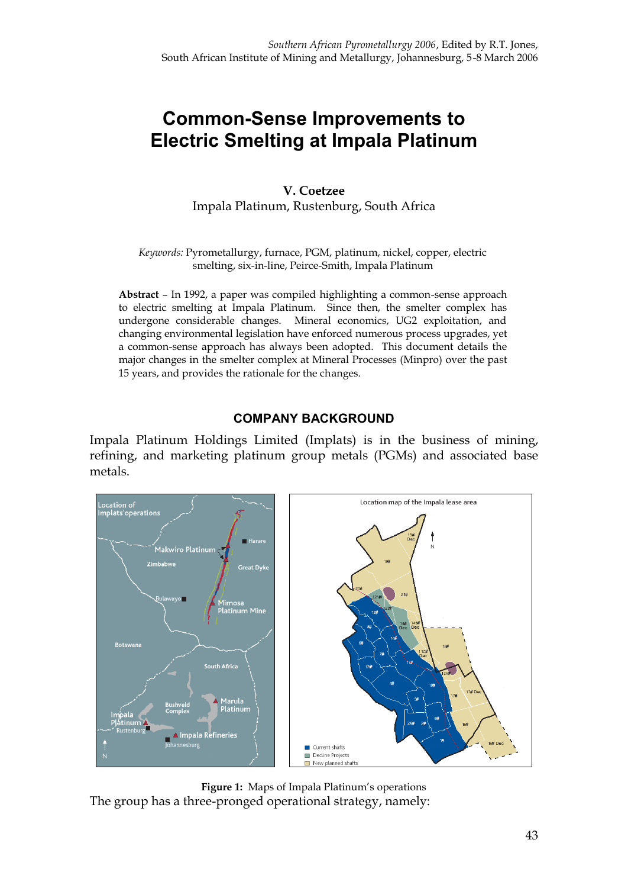# **Common-Sense Improvements to Electric Smelting at Impala Platinum**

**V. Coetzee** Impala Platinum, Rustenburg, South Africa

*Keywords:* Pyrometallurgy, furnace, PGM, platinum, nickel, copper, electric smelting, six-in-line, Peirce-Smith, Impala Platinum

**Abstract** – In 1992, a paper was compiled highlighting a common-sense approach to electric smelting at Impala Platinum. Since then, the smelter complex has undergone considerable changes. Mineral economics, UG2 exploitation, and changing environmental legislation have enforced numerous process upgrades, yet a common-sense approach has always been adopted. This document details the major changes in the smelter complex at Mineral Processes (Minpro) over the past 15 years, and provides the rationale for the changes.

#### **COMPANY BACKGROUND**

Impala Platinum Holdings Limited (Implats) is in the business of mining, refining, and marketing platinum group metals (PGMs) and associated base metals.



**Figure 1:** Maps of Impala Platinum's operations The group has a three-pronged operational strategy, namely: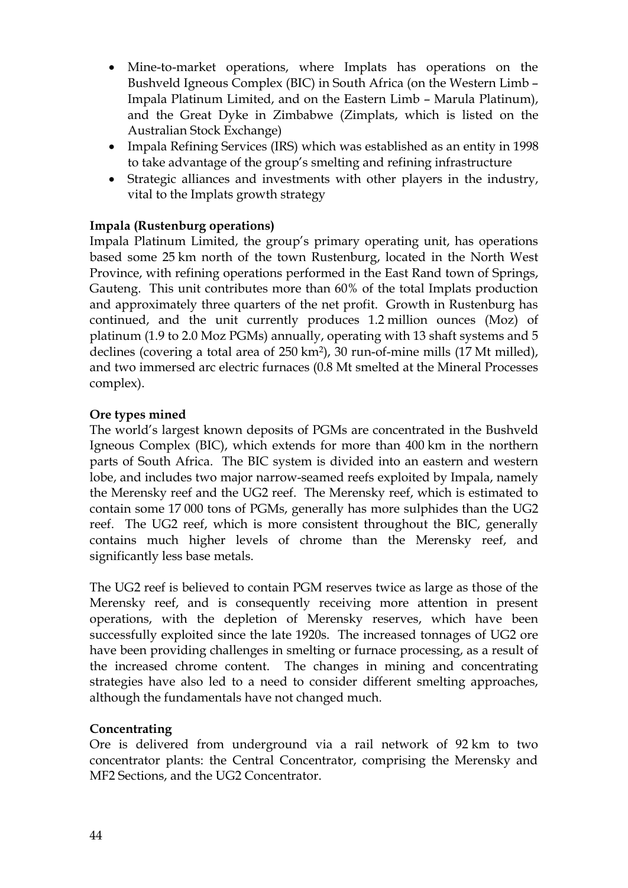- · Mine-to-market operations, where Implats has operations on the Bushveld Igneous Complex (BIC) in South Africa (on the Western Limb – Impala Platinum Limited, and on the Eastern Limb – Marula Platinum), and the Great Dyke in Zimbabwe (Zimplats, which is listed on the Australian Stock Exchange)
- · Impala Refining Services (IRS) which was established as an entity in 1998 to take advantage of the group's smelting and refining infrastructure
- · Strategic alliances and investments with other players in the industry, vital to the Implats growth strategy

# **Impala (Rustenburg operations)**

Impala Platinum Limited, the group's primary operating unit, has operations based some 25 km north of the town Rustenburg, located in the North West Province, with refining operations performed in the East Rand town of Springs, Gauteng. This unit contributes more than 60% of the total Implats production and approximately three quarters of the net profit. Growth in Rustenburg has continued, and the unit currently produces 1.2 million ounces (Moz) of platinum (1.9 to 2.0 Moz PGMs) annually, operating with 13 shaft systems and 5 declines (covering a total area of 250 km2), 30 run-of-mine mills (17 Mt milled), and two immersed arc electric furnaces (0.8 Mt smelted at the Mineral Processes complex).

## **Ore types mined**

The world's largest known deposits of PGMs are concentrated in the Bushveld Igneous Complex (BIC), which extends for more than 400 km in the northern parts of South Africa. The BIC system is divided into an eastern and western lobe, and includes two major narrow-seamed reefs exploited by Impala, namely the Merensky reef and the UG2 reef. The Merensky reef, which is estimated to contain some 17 000 tons of PGMs, generally has more sulphides than the UG2 reef. The UG2 reef, which is more consistent throughout the BIC, generally contains much higher levels of chrome than the Merensky reef, and significantly less base metals.

The UG2 reef is believed to contain PGM reserves twice as large as those of the Merensky reef, and is consequently receiving more attention in present operations, with the depletion of Merensky reserves, which have been successfully exploited since the late 1920s. The increased tonnages of UG2 ore have been providing challenges in smelting or furnace processing, as a result of the increased chrome content. The changes in mining and concentrating strategies have also led to a need to consider different smelting approaches, although the fundamentals have not changed much.

# **Concentrating**

Ore is delivered from underground via a rail network of 92 km to two concentrator plants: the Central Concentrator, comprising the Merensky and MF2 Sections, and the UG2 Concentrator.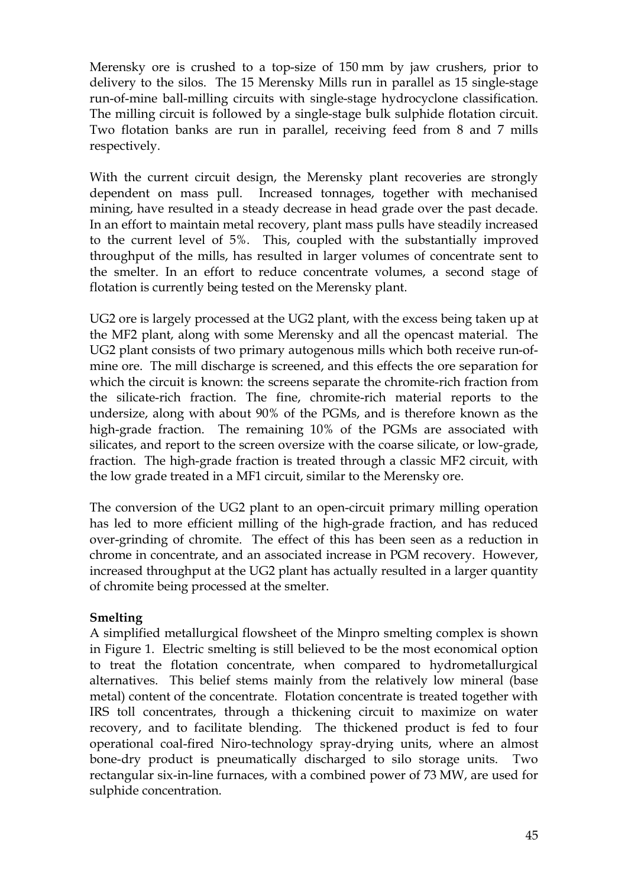Merensky ore is crushed to a top-size of 150 mm by jaw crushers, prior to delivery to the silos. The 15 Merensky Mills run in parallel as 15 single-stage run-of-mine ball-milling circuits with single-stage hydrocyclone classification. The milling circuit is followed by a single-stage bulk sulphide flotation circuit. Two flotation banks are run in parallel, receiving feed from 8 and 7 mills respectively.

With the current circuit design, the Merensky plant recoveries are strongly dependent on mass pull. Increased tonnages, together with mechanised mining, have resulted in a steady decrease in head grade over the past decade. In an effort to maintain metal recovery, plant mass pulls have steadily increased to the current level of 5%. This, coupled with the substantially improved throughput of the mills, has resulted in larger volumes of concentrate sent to the smelter. In an effort to reduce concentrate volumes, a second stage of flotation is currently being tested on the Merensky plant.

UG2 ore is largely processed at the UG2 plant, with the excess being taken up at the MF2 plant, along with some Merensky and all the opencast material. The UG2 plant consists of two primary autogenous mills which both receive run-ofmine ore. The mill discharge is screened, and this effects the ore separation for which the circuit is known: the screens separate the chromite-rich fraction from the silicate-rich fraction. The fine, chromite-rich material reports to the undersize, along with about 90% of the PGMs, and is therefore known as the high-grade fraction. The remaining 10% of the PGMs are associated with silicates, and report to the screen oversize with the coarse silicate, or low-grade, fraction. The high-grade fraction is treated through a classic MF2 circuit, with the low grade treated in a MF1 circuit, similar to the Merensky ore.

The conversion of the UG2 plant to an open-circuit primary milling operation has led to more efficient milling of the high-grade fraction, and has reduced over-grinding of chromite. The effect of this has been seen as a reduction in chrome in concentrate, and an associated increase in PGM recovery. However, increased throughput at the UG2 plant has actually resulted in a larger quantity of chromite being processed at the smelter.

# **Smelting**

A simplified metallurgical flowsheet of the Minpro smelting complex is shown in Figure 1. Electric smelting is still believed to be the most economical option to treat the flotation concentrate, when compared to hydrometallurgical alternatives. This belief stems mainly from the relatively low mineral (base metal) content of the concentrate. Flotation concentrate is treated together with IRS toll concentrates, through a thickening circuit to maximize on water recovery, and to facilitate blending. The thickened product is fed to four operational coal-fired Niro-technology spray-drying units, where an almost bone-dry product is pneumatically discharged to silo storage units. Two rectangular six-in-line furnaces, with a combined power of 73 MW, are used for sulphide concentration.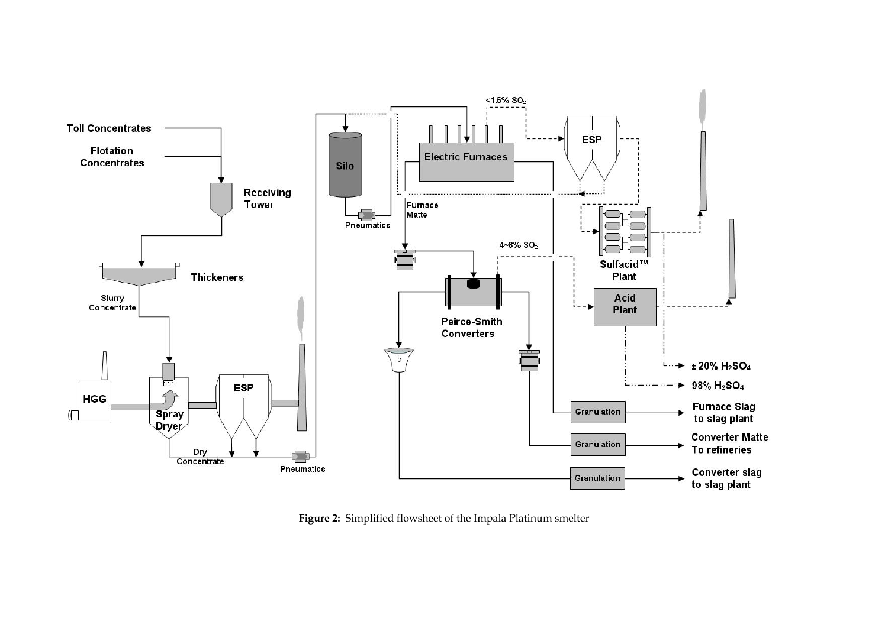

**Figure 2:** Simplified flowsheet of the Impala Platinum smelter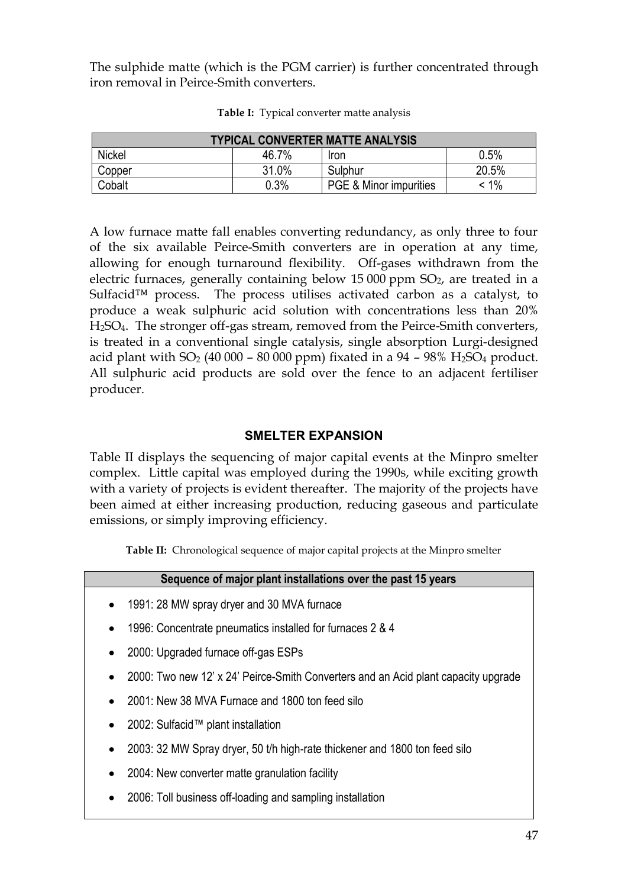The sulphide matte (which is the PGM carrier) is further concentrated through iron removal in Peirce-Smith converters.

|               | <b>TYPICAL CONVERTER MATTE ANALYSIS</b> |                        |         |  |  |  |  |  |  |
|---------------|-----------------------------------------|------------------------|---------|--|--|--|--|--|--|
| <b>Nickel</b> | 46.7%                                   | Iron                   | 0.5%    |  |  |  |  |  |  |
| Copper        | 31.0%                                   | Sulphur                | 20.5%   |  |  |  |  |  |  |
| Cobalt        | 0.3%                                    | PGE & Minor impurities | $< 1\%$ |  |  |  |  |  |  |

**Table I:** Typical converter matte analysis

A low furnace matte fall enables converting redundancy, as only three to four of the six available Peirce-Smith converters are in operation at any time, allowing for enough turnaround flexibility. Off-gases withdrawn from the electric furnaces, generally containing below  $15\,000$  ppm  $SO<sub>2</sub>$ , are treated in a Sulfacid<sup>™</sup> process. The process utilises activated carbon as a catalyst, to produce a weak sulphuric acid solution with concentrations less than 20% H2SO4. The stronger off-gas stream, removed from the Peirce-Smith converters, is treated in a conventional single catalysis, single absorption Lurgi-designed acid plant with  $SO_2$  (40 000 – 80 000 ppm) fixated in a 94 – 98% H<sub>2</sub>SO<sub>4</sub> product. All sulphuric acid products are sold over the fence to an adjacent fertiliser producer.

# **SMELTER EXPANSION**

Table II displays the sequencing of major capital events at the Minpro smelter complex. Little capital was employed during the 1990s, while exciting growth with a variety of projects is evident thereafter. The majority of the projects have been aimed at either increasing production, reducing gaseous and particulate emissions, or simply improving efficiency.

**Table II:** Chronological sequence of major capital projects at the Minpro smelter

|           | Sequence of major plant installations over the past 15 years |  |
|-----------|--------------------------------------------------------------|--|
| $\bullet$ | 1991: 28 MW spray dryer and 30 MVA furnace                   |  |

- · 1996: Concentrate pneumatics installed for furnaces 2 & 4
- 2000: Upgraded furnace off-gas ESPs
- · 2000: Two new 12' x 24' Peirce-Smith Converters and an Acid plant capacity upgrade
- · 2001: New 38 MVA Furnace and 1800 ton feed silo
- 2002: Sulfacid™ plant installation
- · 2003: 32 MW Spray dryer, 50 t/h high-rate thickener and 1800 ton feed silo
- 2004: New converter matte granulation facility
- · 2006: Toll business off-loading and sampling installation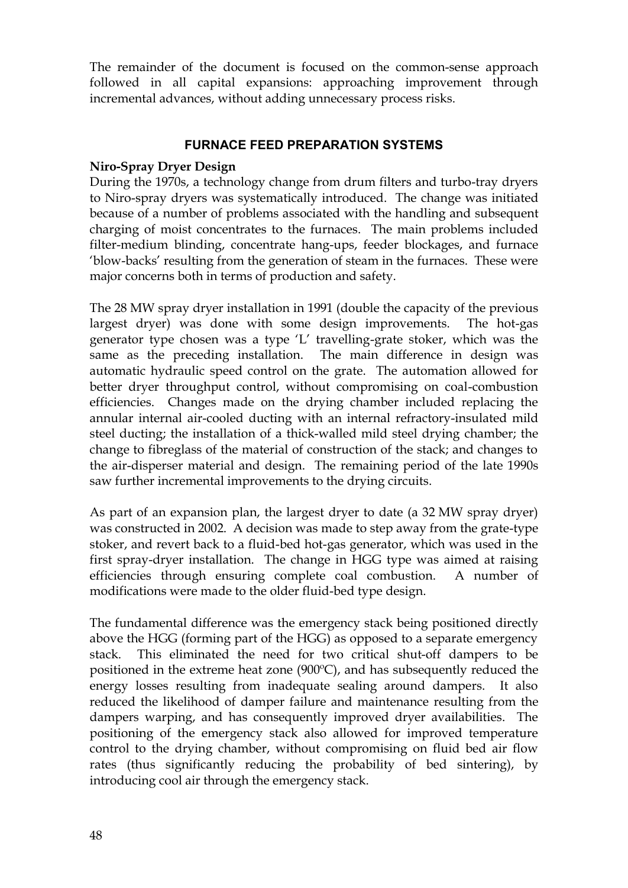The remainder of the document is focused on the common-sense approach followed in all capital expansions: approaching improvement through incremental advances, without adding unnecessary process risks.

# **FURNACE FEED PREPARATION SYSTEMS**

# **Niro-Spray Dryer Design**

During the 1970s, a technology change from drum filters and turbo-tray dryers to Niro-spray dryers was systematically introduced. The change was initiated because of a number of problems associated with the handling and subsequent charging of moist concentrates to the furnaces. The main problems included filter-medium blinding, concentrate hang-ups, feeder blockages, and furnace 'blow-backs' resulting from the generation of steam in the furnaces. These were major concerns both in terms of production and safety.

The 28 MW spray dryer installation in 1991 (double the capacity of the previous largest dryer) was done with some design improvements. The hot-gas generator type chosen was a type 'L' travelling-grate stoker, which was the same as the preceding installation. The main difference in design was automatic hydraulic speed control on the grate. The automation allowed for better dryer throughput control, without compromising on coal-combustion efficiencies. Changes made on the drying chamber included replacing the annular internal air-cooled ducting with an internal refractory-insulated mild steel ducting; the installation of a thick-walled mild steel drying chamber; the change to fibreglass of the material of construction of the stack; and changes to the air-disperser material and design. The remaining period of the late 1990s saw further incremental improvements to the drying circuits.

As part of an expansion plan, the largest dryer to date (a 32 MW spray dryer) was constructed in 2002. A decision was made to step away from the grate-type stoker, and revert back to a fluid-bed hot-gas generator, which was used in the first spray-dryer installation. The change in HGG type was aimed at raising efficiencies through ensuring complete coal combustion. A number of modifications were made to the older fluid-bed type design.

The fundamental difference was the emergency stack being positioned directly above the HGG (forming part of the HGG) as opposed to a separate emergency stack. This eliminated the need for two critical shut-off dampers to be positioned in the extreme heat zone (900ºC), and has subsequently reduced the energy losses resulting from inadequate sealing around dampers. It also reduced the likelihood of damper failure and maintenance resulting from the dampers warping, and has consequently improved dryer availabilities. The positioning of the emergency stack also allowed for improved temperature control to the drying chamber, without compromising on fluid bed air flow rates (thus significantly reducing the probability of bed sintering), by introducing cool air through the emergency stack.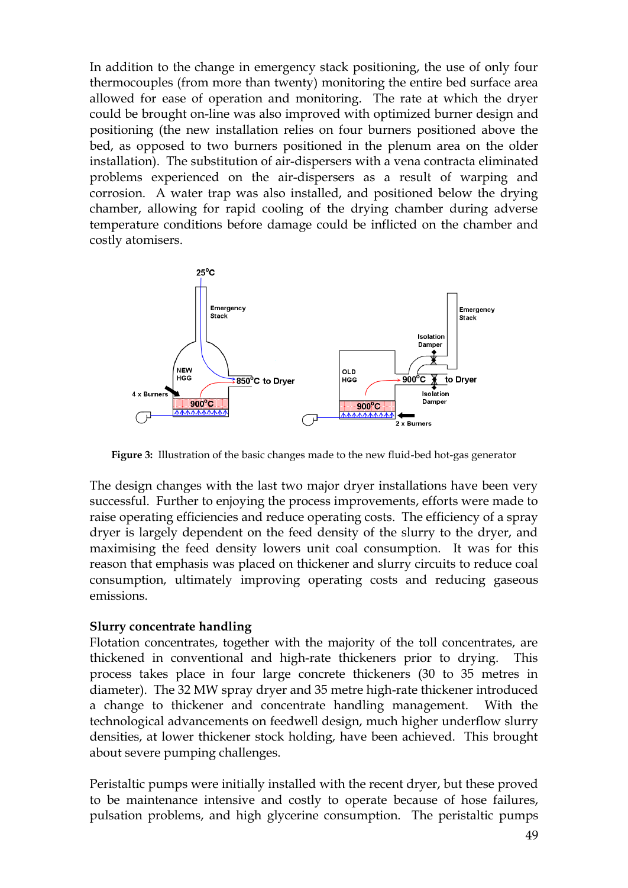In addition to the change in emergency stack positioning, the use of only four thermocouples (from more than twenty) monitoring the entire bed surface area allowed for ease of operation and monitoring. The rate at which the dryer could be brought on-line was also improved with optimized burner design and positioning (the new installation relies on four burners positioned above the bed, as opposed to two burners positioned in the plenum area on the older installation). The substitution of air-dispersers with a vena contracta eliminated problems experienced on the air-dispersers as a result of warping and corrosion. A water trap was also installed, and positioned below the drying chamber, allowing for rapid cooling of the drying chamber during adverse temperature conditions before damage could be inflicted on the chamber and costly atomisers.



**Figure 3:** Illustration of the basic changes made to the new fluid-bed hot-gas generator

The design changes with the last two major dryer installations have been very successful. Further to enjoying the process improvements, efforts were made to raise operating efficiencies and reduce operating costs. The efficiency of a spray dryer is largely dependent on the feed density of the slurry to the dryer, and maximising the feed density lowers unit coal consumption. It was for this reason that emphasis was placed on thickener and slurry circuits to reduce coal consumption, ultimately improving operating costs and reducing gaseous emissions.

#### **Slurry concentrate handling**

Flotation concentrates, together with the majority of the toll concentrates, are thickened in conventional and high-rate thickeners prior to drying. This process takes place in four large concrete thickeners (30 to 35 metres in diameter). The 32 MW spray dryer and 35 metre high-rate thickener introduced a change to thickener and concentrate handling management. With the technological advancements on feedwell design, much higher underflow slurry densities, at lower thickener stock holding, have been achieved. This brought about severe pumping challenges.

Peristaltic pumps were initially installed with the recent dryer, but these proved to be maintenance intensive and costly to operate because of hose failures, pulsation problems, and high glycerine consumption. The peristaltic pumps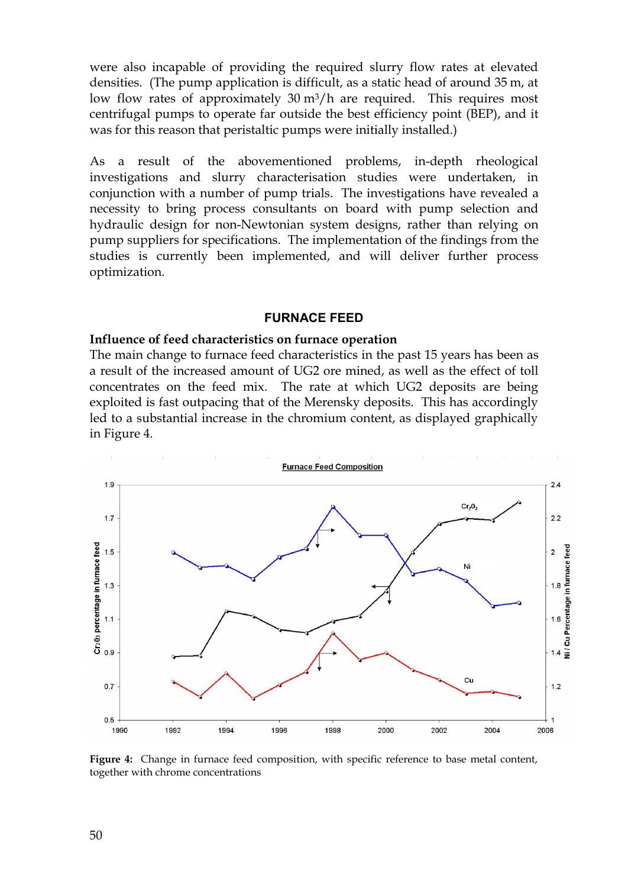were also incapable of providing the required slurry flow rates at elevated densities. (The pump application is difficult, as a static head of around 35 m, at low flow rates of approximately  $30 \text{ m}^3/\text{h}$  are required. This requires most centrifugal pumps to operate far outside the best efficiency point (BEP), and it was for this reason that peristaltic pumps were initially installed.)

As a result of the abovementioned problems, in-depth rheological investigations and slurry characterisation studies were undertaken, in conjunction with a number of pump trials. The investigations have revealed a necessity to bring process consultants on board with pump selection and hydraulic design for non-Newtonian system designs, rather than relying on pump suppliers for specifications. The implementation of the findings from the studies is currently been implemented, and will deliver further process optimization.

#### **FURNACE FEED**

#### **Influence of feed characteristics on furnace operation**

The main change to furnace feed characteristics in the past 15 years has been as a result of the increased amount of UG2 ore mined, as well as the effect of toll concentrates on the feed mix. The rate at which UG2 deposits are being exploited is fast outpacing that of the Merensky deposits. This has accordingly led to a substantial increase in the chromium content, as displayed graphically in Figure 4.



**Figure 4:** Change in furnace feed composition, with specific reference to base metal content, together with chrome concentrations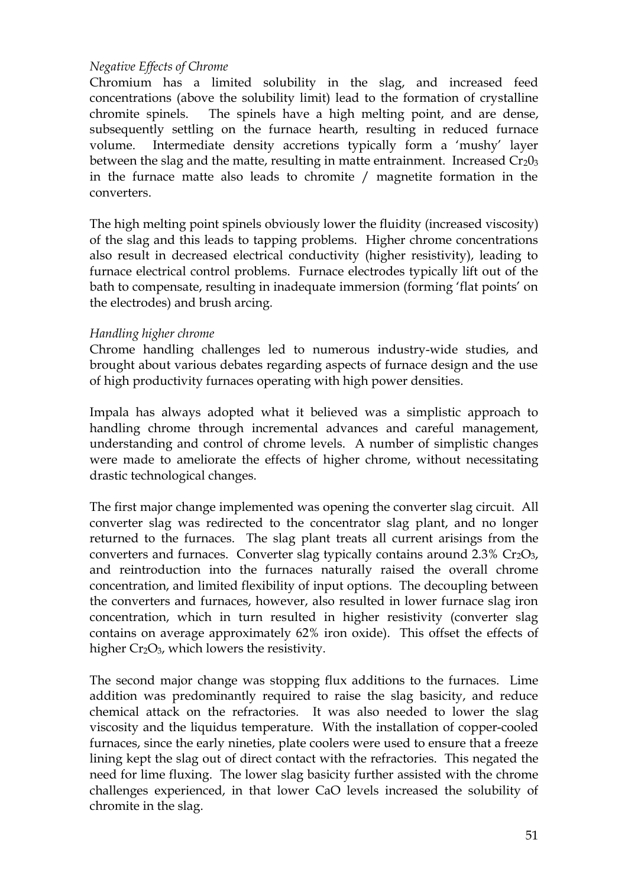# *Negative Effects of Chrome*

Chromium has a limited solubility in the slag, and increased feed concentrations (above the solubility limit) lead to the formation of crystalline chromite spinels. The spinels have a high melting point, and are dense, subsequently settling on the furnace hearth, resulting in reduced furnace volume. Intermediate density accretions typically form a 'mushy' layer between the slag and the matte, resulting in matte entrainment. Increased  $Cr<sub>2</sub>0<sub>3</sub>$ in the furnace matte also leads to chromite / magnetite formation in the converters.

The high melting point spinels obviously lower the fluidity (increased viscosity) of the slag and this leads to tapping problems. Higher chrome concentrations also result in decreased electrical conductivity (higher resistivity), leading to furnace electrical control problems. Furnace electrodes typically lift out of the bath to compensate, resulting in inadequate immersion (forming 'flat points' on the electrodes) and brush arcing.

#### *Handling higher chrome*

Chrome handling challenges led to numerous industry-wide studies, and brought about various debates regarding aspects of furnace design and the use of high productivity furnaces operating with high power densities.

Impala has always adopted what it believed was a simplistic approach to handling chrome through incremental advances and careful management, understanding and control of chrome levels. A number of simplistic changes were made to ameliorate the effects of higher chrome, without necessitating drastic technological changes.

The first major change implemented was opening the converter slag circuit. All converter slag was redirected to the concentrator slag plant, and no longer returned to the furnaces. The slag plant treats all current arisings from the converters and furnaces. Converter slag typically contains around  $2.3\%$  Cr<sub>2</sub>O<sub>3</sub>, and reintroduction into the furnaces naturally raised the overall chrome concentration, and limited flexibility of input options. The decoupling between the converters and furnaces, however, also resulted in lower furnace slag iron concentration, which in turn resulted in higher resistivity (converter slag contains on average approximately 62% iron oxide). This offset the effects of higher  $Cr_2O_3$ , which lowers the resistivity.

The second major change was stopping flux additions to the furnaces. Lime addition was predominantly required to raise the slag basicity, and reduce chemical attack on the refractories. It was also needed to lower the slag viscosity and the liquidus temperature. With the installation of copper-cooled furnaces, since the early nineties, plate coolers were used to ensure that a freeze lining kept the slag out of direct contact with the refractories. This negated the need for lime fluxing. The lower slag basicity further assisted with the chrome challenges experienced, in that lower CaO levels increased the solubility of chromite in the slag.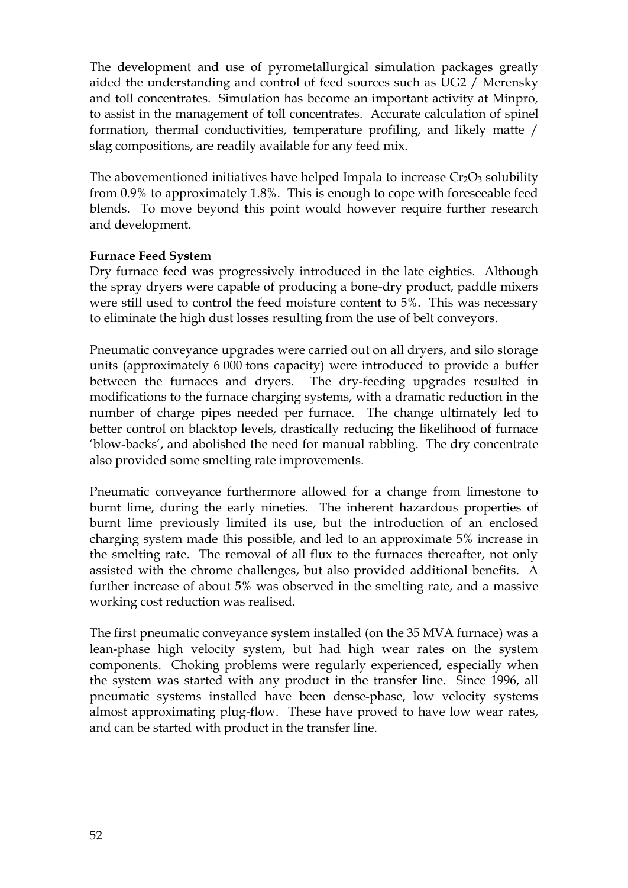The development and use of pyrometallurgical simulation packages greatly aided the understanding and control of feed sources such as UG2 / Merensky and toll concentrates. Simulation has become an important activity at Minpro, to assist in the management of toll concentrates. Accurate calculation of spinel formation, thermal conductivities, temperature profiling, and likely matte / slag compositions, are readily available for any feed mix.

The abovementioned initiatives have helped Impala to increase  $Cr_2O_3$  solubility from 0.9% to approximately 1.8%. This is enough to cope with foreseeable feed blends. To move beyond this point would however require further research and development.

# **Furnace Feed System**

Dry furnace feed was progressively introduced in the late eighties. Although the spray dryers were capable of producing a bone-dry product, paddle mixers were still used to control the feed moisture content to 5%. This was necessary to eliminate the high dust losses resulting from the use of belt conveyors.

Pneumatic conveyance upgrades were carried out on all dryers, and silo storage units (approximately 6 000 tons capacity) were introduced to provide a buffer between the furnaces and dryers. The dry-feeding upgrades resulted in modifications to the furnace charging systems, with a dramatic reduction in the number of charge pipes needed per furnace. The change ultimately led to better control on blacktop levels, drastically reducing the likelihood of furnace 'blow-backs', and abolished the need for manual rabbling. The dry concentrate also provided some smelting rate improvements.

Pneumatic conveyance furthermore allowed for a change from limestone to burnt lime, during the early nineties. The inherent hazardous properties of burnt lime previously limited its use, but the introduction of an enclosed charging system made this possible, and led to an approximate 5% increase in the smelting rate. The removal of all flux to the furnaces thereafter, not only assisted with the chrome challenges, but also provided additional benefits. A further increase of about 5% was observed in the smelting rate, and a massive working cost reduction was realised.

The first pneumatic conveyance system installed (on the 35 MVA furnace) was a lean-phase high velocity system, but had high wear rates on the system components. Choking problems were regularly experienced, especially when the system was started with any product in the transfer line. Since 1996, all pneumatic systems installed have been dense-phase, low velocity systems almost approximating plug-flow. These have proved to have low wear rates, and can be started with product in the transfer line.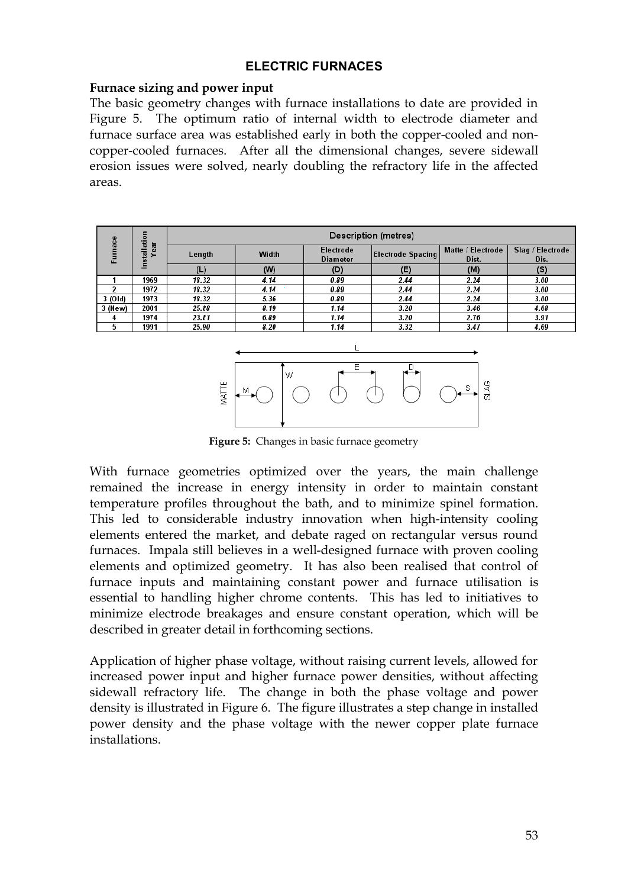## **ELECTRIC FURNACES**

#### **Furnace sizing and power input**

The basic geometry changes with furnace installations to date are provided in Figure 5. The optimum ratio of internal width to electrode diameter and furnace surface area was established early in both the copper-cooled and noncopper-cooled furnaces. After all the dimensional changes, severe sidewall erosion issues were solved, nearly doubling the refractory life in the affected areas.

| ၕ       | 등<br>ਵਿੱ      | <b>Description (metres)</b> |       |                              |                          |                            |                          |
|---------|---------------|-----------------------------|-------|------------------------------|--------------------------|----------------------------|--------------------------|
| ē       | ear<br>Ē<br>> | Length                      | Width | Electrode<br><b>Diameter</b> | <b>Electrode Spacing</b> | Matte / Electrode<br>Dist. | Slag / Electrode<br>Dis. |
|         | E             | (L)                         | (W)   | (D)                          | (E)                      | (M)                        | (S)                      |
|         | 1969          | 18.32                       | 4.14  | 0.89                         | 2.44                     | 2.24                       | 3.00                     |
|         | 1972          | 18.32                       | 4.14  | 0.89                         | 2.44                     | 2.24                       | 3.00                     |
| 3 (Old) | 1973          | 18.32                       | 5.36  | 0.89                         | 2.44                     | 2.24                       | 3.00                     |
| 3 (New) | 2001          | 25.88                       | 8.19  | 1.14                         | 3.20                     | 3.46                       | 4.68                     |
|         | 1974          | 23.81                       | 6.89  | 1.14                         | 3.20                     | 2.76                       | 3.91                     |
|         | 1991          | 25.90                       | 8.20  | 1.14                         | 3.32                     | 3.47                       | 4.69                     |



**Figure 5:** Changes in basic furnace geometry

With furnace geometries optimized over the years, the main challenge remained the increase in energy intensity in order to maintain constant temperature profiles throughout the bath, and to minimize spinel formation. This led to considerable industry innovation when high-intensity cooling elements entered the market, and debate raged on rectangular versus round furnaces. Impala still believes in a well-designed furnace with proven cooling elements and optimized geometry. It has also been realised that control of furnace inputs and maintaining constant power and furnace utilisation is essential to handling higher chrome contents. This has led to initiatives to minimize electrode breakages and ensure constant operation, which will be described in greater detail in forthcoming sections.

Application of higher phase voltage, without raising current levels, allowed for increased power input and higher furnace power densities, without affecting sidewall refractory life. The change in both the phase voltage and power density is illustrated in Figure 6. The figure illustrates a step change in installed power density and the phase voltage with the newer copper plate furnace installations.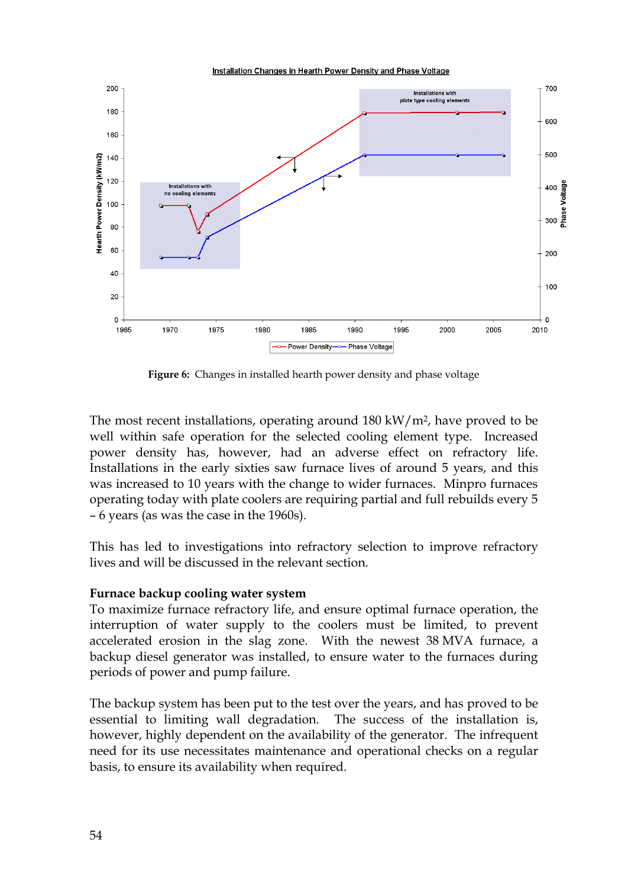Installation Changes in Hearth Power Density and Phase Voltage



**Figure 6:** Changes in installed hearth power density and phase voltage

The most recent installations, operating around 180 kW/m2, have proved to be well within safe operation for the selected cooling element type. Increased power density has, however, had an adverse effect on refractory life. Installations in the early sixties saw furnace lives of around 5 years, and this was increased to 10 years with the change to wider furnaces. Minpro furnaces operating today with plate coolers are requiring partial and full rebuilds every 5 – 6 years (as was the case in the 1960s).

This has led to investigations into refractory selection to improve refractory lives and will be discussed in the relevant section.

#### **Furnace backup cooling water system**

To maximize furnace refractory life, and ensure optimal furnace operation, the interruption of water supply to the coolers must be limited, to prevent accelerated erosion in the slag zone. With the newest 38 MVA furnace, a backup diesel generator was installed, to ensure water to the furnaces during periods of power and pump failure.

The backup system has been put to the test over the years, and has proved to be essential to limiting wall degradation. The success of the installation is, however, highly dependent on the availability of the generator. The infrequent need for its use necessitates maintenance and operational checks on a regular basis, to ensure its availability when required.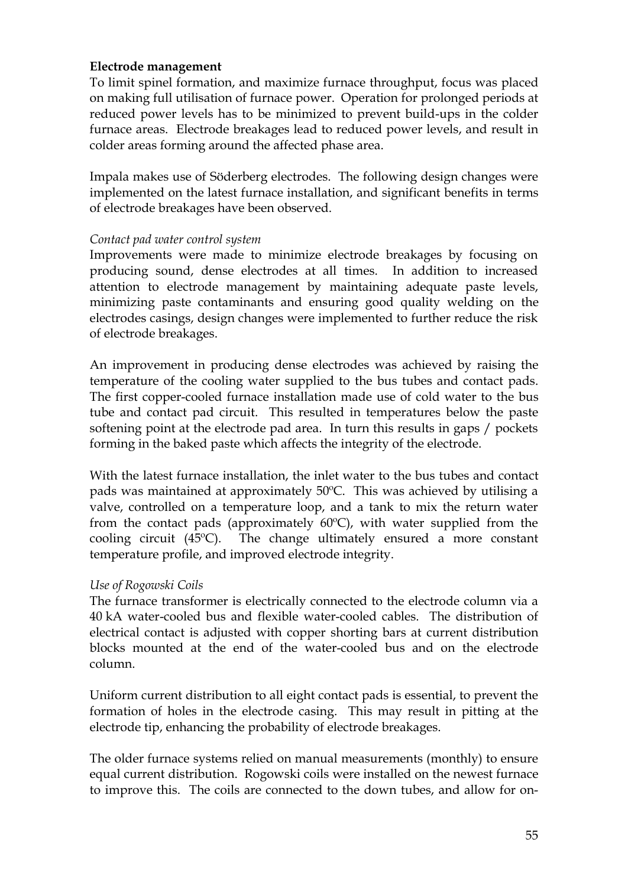## **Electrode management**

To limit spinel formation, and maximize furnace throughput, focus was placed on making full utilisation of furnace power. Operation for prolonged periods at reduced power levels has to be minimized to prevent build-ups in the colder furnace areas. Electrode breakages lead to reduced power levels, and result in colder areas forming around the affected phase area.

Impala makes use of Söderberg electrodes. The following design changes were implemented on the latest furnace installation, and significant benefits in terms of electrode breakages have been observed.

## *Contact pad water control system*

Improvements were made to minimize electrode breakages by focusing on producing sound, dense electrodes at all times. In addition to increased attention to electrode management by maintaining adequate paste levels, minimizing paste contaminants and ensuring good quality welding on the electrodes casings, design changes were implemented to further reduce the risk of electrode breakages.

An improvement in producing dense electrodes was achieved by raising the temperature of the cooling water supplied to the bus tubes and contact pads. The first copper-cooled furnace installation made use of cold water to the bus tube and contact pad circuit. This resulted in temperatures below the paste softening point at the electrode pad area. In turn this results in gaps / pockets forming in the baked paste which affects the integrity of the electrode.

With the latest furnace installation, the inlet water to the bus tubes and contact pads was maintained at approximately 50ºC. This was achieved by utilising a valve, controlled on a temperature loop, and a tank to mix the return water from the contact pads (approximately  $60^{\circ}$ C), with water supplied from the cooling circuit (45ºC). The change ultimately ensured a more constant temperature profile, and improved electrode integrity.

# *Use of Rogowski Coils*

The furnace transformer is electrically connected to the electrode column via a 40 kA water-cooled bus and flexible water-cooled cables. The distribution of electrical contact is adjusted with copper shorting bars at current distribution blocks mounted at the end of the water-cooled bus and on the electrode column.

Uniform current distribution to all eight contact pads is essential, to prevent the formation of holes in the electrode casing. This may result in pitting at the electrode tip, enhancing the probability of electrode breakages.

The older furnace systems relied on manual measurements (monthly) to ensure equal current distribution. Rogowski coils were installed on the newest furnace to improve this. The coils are connected to the down tubes, and allow for on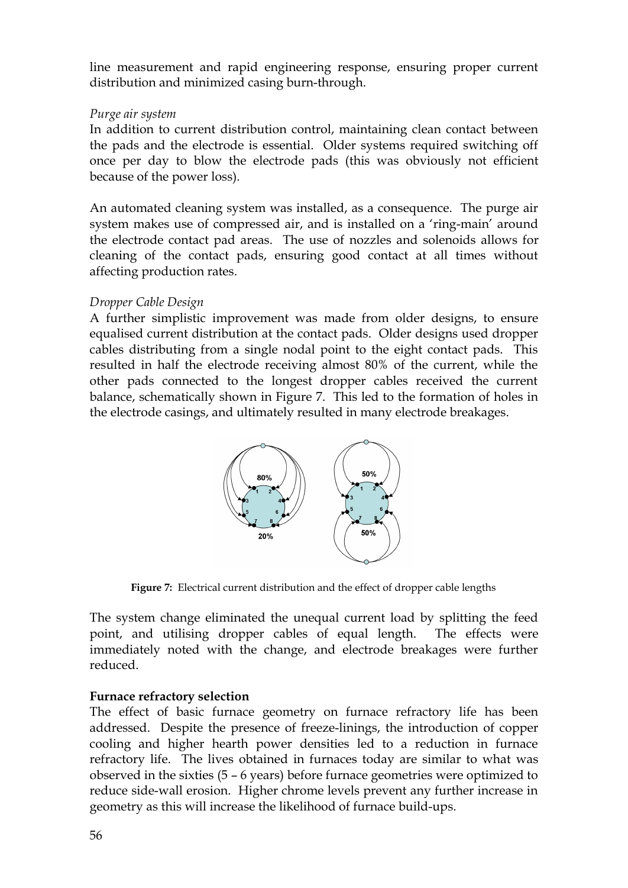line measurement and rapid engineering response, ensuring proper current distribution and minimized casing burn-through.

## *Purge air system*

In addition to current distribution control, maintaining clean contact between the pads and the electrode is essential. Older systems required switching off once per day to blow the electrode pads (this was obviously not efficient because of the power loss).

An automated cleaning system was installed, as a consequence. The purge air system makes use of compressed air, and is installed on a 'ring-main' around the electrode contact pad areas. The use of nozzles and solenoids allows for cleaning of the contact pads, ensuring good contact at all times without affecting production rates.

# *Dropper Cable Design*

A further simplistic improvement was made from older designs, to ensure equalised current distribution at the contact pads. Older designs used dropper cables distributing from a single nodal point to the eight contact pads. This resulted in half the electrode receiving almost 80% of the current, while the other pads connected to the longest dropper cables received the current balance, schematically shown in Figure 7. This led to the formation of holes in the electrode casings, and ultimately resulted in many electrode breakages.



**Figure 7:** Electrical current distribution and the effect of dropper cable lengths

The system change eliminated the unequal current load by splitting the feed point, and utilising dropper cables of equal length. The effects were immediately noted with the change, and electrode breakages were further reduced.

# **Furnace refractory selection**

The effect of basic furnace geometry on furnace refractory life has been addressed. Despite the presence of freeze-linings, the introduction of copper cooling and higher hearth power densities led to a reduction in furnace refractory life. The lives obtained in furnaces today are similar to what was observed in the sixties (5 – 6 years) before furnace geometries were optimized to reduce side-wall erosion. Higher chrome levels prevent any further increase in geometry as this will increase the likelihood of furnace build-ups.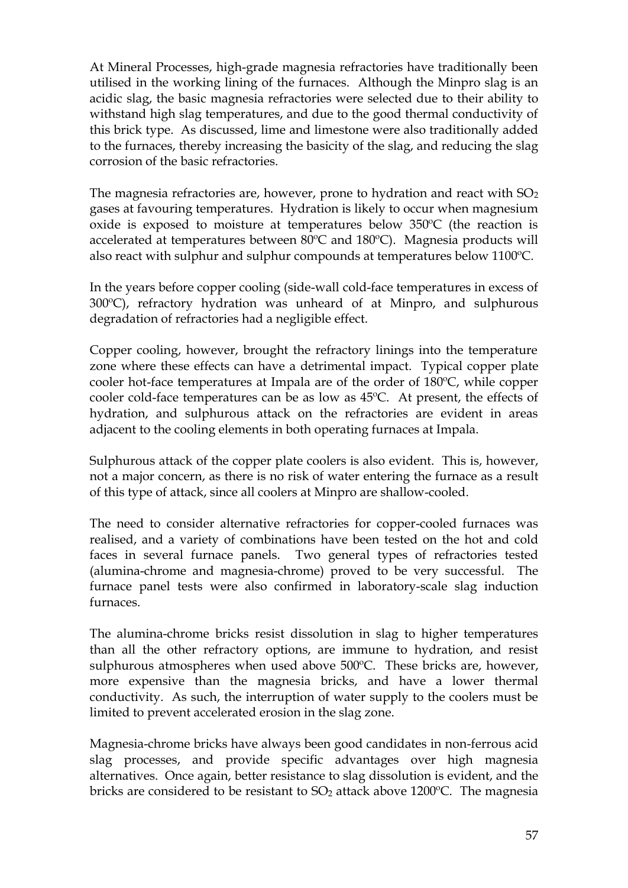At Mineral Processes, high-grade magnesia refractories have traditionally been utilised in the working lining of the furnaces. Although the Minpro slag is an acidic slag, the basic magnesia refractories were selected due to their ability to withstand high slag temperatures, and due to the good thermal conductivity of this brick type. As discussed, lime and limestone were also traditionally added to the furnaces, thereby increasing the basicity of the slag, and reducing the slag corrosion of the basic refractories.

The magnesia refractories are, however, prone to hydration and react with  $SO<sub>2</sub>$ gases at favouring temperatures. Hydration is likely to occur when magnesium oxide is exposed to moisture at temperatures below 350ºC (the reaction is accelerated at temperatures between 80ºC and 180ºC). Magnesia products will also react with sulphur and sulphur compounds at temperatures below 1100ºC.

In the years before copper cooling (side-wall cold-face temperatures in excess of 300ºC), refractory hydration was unheard of at Minpro, and sulphurous degradation of refractories had a negligible effect.

Copper cooling, however, brought the refractory linings into the temperature zone where these effects can have a detrimental impact. Typical copper plate cooler hot-face temperatures at Impala are of the order of 180ºC, while copper cooler cold-face temperatures can be as low as 45ºC. At present, the effects of hydration, and sulphurous attack on the refractories are evident in areas adjacent to the cooling elements in both operating furnaces at Impala.

Sulphurous attack of the copper plate coolers is also evident. This is, however, not a major concern, as there is no risk of water entering the furnace as a result of this type of attack, since all coolers at Minpro are shallow-cooled.

The need to consider alternative refractories for copper-cooled furnaces was realised, and a variety of combinations have been tested on the hot and cold faces in several furnace panels. Two general types of refractories tested (alumina-chrome and magnesia-chrome) proved to be very successful. The furnace panel tests were also confirmed in laboratory-scale slag induction furnaces.

The alumina-chrome bricks resist dissolution in slag to higher temperatures than all the other refractory options, are immune to hydration, and resist sulphurous atmospheres when used above 500ºC. These bricks are, however, more expensive than the magnesia bricks, and have a lower thermal conductivity. As such, the interruption of water supply to the coolers must be limited to prevent accelerated erosion in the slag zone.

Magnesia-chrome bricks have always been good candidates in non-ferrous acid slag processes, and provide specific advantages over high magnesia alternatives. Once again, better resistance to slag dissolution is evident, and the bricks are considered to be resistant to  $SO<sub>2</sub>$  attack above 1200 $^{\circ}$ C. The magnesia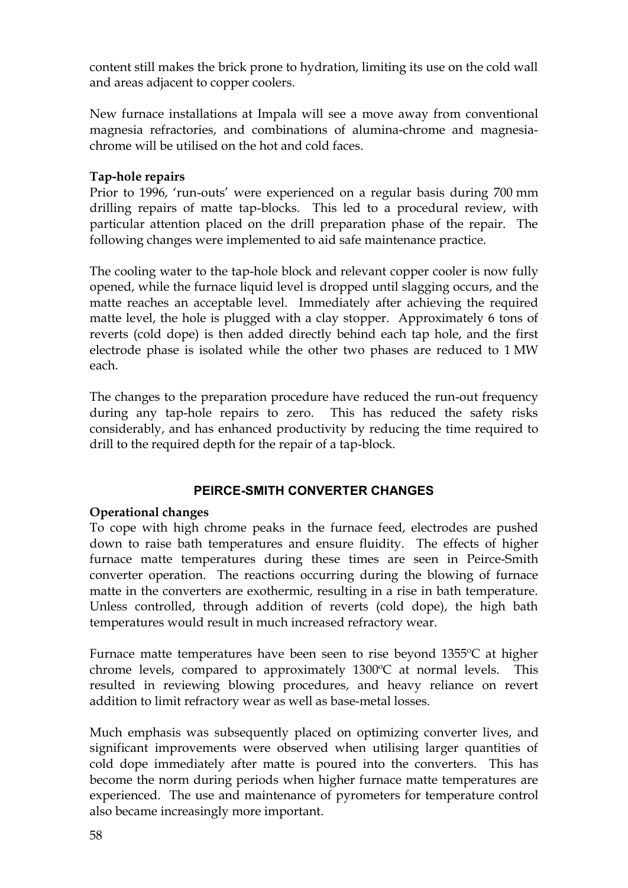content still makes the brick prone to hydration, limiting its use on the cold wall and areas adjacent to copper coolers.

New furnace installations at Impala will see a move away from conventional magnesia refractories, and combinations of alumina-chrome and magnesiachrome will be utilised on the hot and cold faces.

# **Tap-hole repairs**

Prior to 1996, 'run-outs' were experienced on a regular basis during 700 mm drilling repairs of matte tap-blocks. This led to a procedural review, with particular attention placed on the drill preparation phase of the repair. The following changes were implemented to aid safe maintenance practice.

The cooling water to the tap-hole block and relevant copper cooler is now fully opened, while the furnace liquid level is dropped until slagging occurs, and the matte reaches an acceptable level. Immediately after achieving the required matte level, the hole is plugged with a clay stopper. Approximately 6 tons of reverts (cold dope) is then added directly behind each tap hole, and the first electrode phase is isolated while the other two phases are reduced to 1 MW each.

The changes to the preparation procedure have reduced the run-out frequency during any tap-hole repairs to zero. This has reduced the safety risks considerably, and has enhanced productivity by reducing the time required to drill to the required depth for the repair of a tap-block.

#### **PEIRCE-SMITH CONVERTER CHANGES**

#### **Operational changes**

To cope with high chrome peaks in the furnace feed, electrodes are pushed down to raise bath temperatures and ensure fluidity. The effects of higher furnace matte temperatures during these times are seen in Peirce-Smith converter operation. The reactions occurring during the blowing of furnace matte in the converters are exothermic, resulting in a rise in bath temperature. Unless controlled, through addition of reverts (cold dope), the high bath temperatures would result in much increased refractory wear.

Furnace matte temperatures have been seen to rise beyond 1355ºC at higher chrome levels, compared to approximately 1300ºC at normal levels. This resulted in reviewing blowing procedures, and heavy reliance on revert addition to limit refractory wear as well as base-metal losses.

Much emphasis was subsequently placed on optimizing converter lives, and significant improvements were observed when utilising larger quantities of cold dope immediately after matte is poured into the converters. This has become the norm during periods when higher furnace matte temperatures are experienced. The use and maintenance of pyrometers for temperature control also became increasingly more important.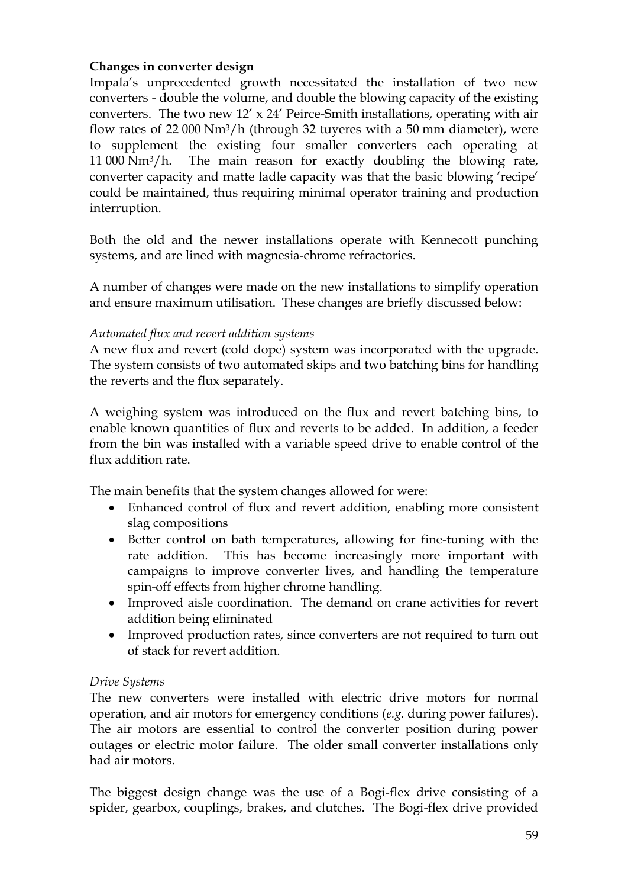# **Changes in converter design**

Impala's unprecedented growth necessitated the installation of two new converters - double the volume, and double the blowing capacity of the existing converters. The two new  $12' \times 24'$  Peirce-Smith installations, operating with air flow rates of 22 000 Nm3/h (through 32 tuyeres with a 50 mm diameter), were to supplement the existing four smaller converters each operating at 11 000 Nm3/h. The main reason for exactly doubling the blowing rate, converter capacity and matte ladle capacity was that the basic blowing 'recipe' could be maintained, thus requiring minimal operator training and production interruption.

Both the old and the newer installations operate with Kennecott punching systems, and are lined with magnesia-chrome refractories.

A number of changes were made on the new installations to simplify operation and ensure maximum utilisation. These changes are briefly discussed below:

# *Automated flux and revert addition systems*

A new flux and revert (cold dope) system was incorporated with the upgrade. The system consists of two automated skips and two batching bins for handling the reverts and the flux separately.

A weighing system was introduced on the flux and revert batching bins, to enable known quantities of flux and reverts to be added. In addition, a feeder from the bin was installed with a variable speed drive to enable control of the flux addition rate.

The main benefits that the system changes allowed for were:

- · Enhanced control of flux and revert addition, enabling more consistent slag compositions
- · Better control on bath temperatures, allowing for fine-tuning with the rate addition. This has become increasingly more important with campaigns to improve converter lives, and handling the temperature spin-off effects from higher chrome handling.
- · Improved aisle coordination. The demand on crane activities for revert addition being eliminated
- · Improved production rates, since converters are not required to turn out of stack for revert addition.

# *Drive Systems*

The new converters were installed with electric drive motors for normal operation, and air motors for emergency conditions (*e.g.* during power failures). The air motors are essential to control the converter position during power outages or electric motor failure. The older small converter installations only had air motors.

The biggest design change was the use of a Bogi-flex drive consisting of a spider, gearbox, couplings, brakes, and clutches. The Bogi-flex drive provided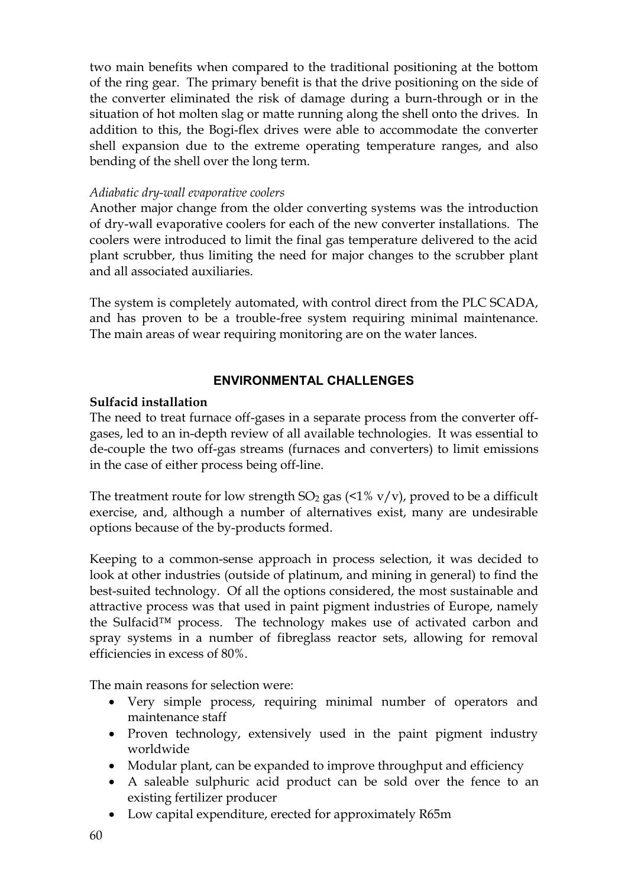two main benefits when compared to the traditional positioning at the bottom of the ring gear. The primary benefit is that the drive positioning on the side of the converter eliminated the risk of damage during a burn-through or in the situation of hot molten slag or matte running along the shell onto the drives. In addition to this, the Bogi-flex drives were able to accommodate the converter shell expansion due to the extreme operating temperature ranges, and also bending of the shell over the long term.

#### *Adiabatic dry-wall evaporative coolers*

Another major change from the older converting systems was the introduction of dry-wall evaporative coolers for each of the new converter installations. The coolers were introduced to limit the final gas temperature delivered to the acid plant scrubber, thus limiting the need for major changes to the scrubber plant and all associated auxiliaries.

The system is completely automated, with control direct from the PLC SCADA, and has proven to be a trouble-free system requiring minimal maintenance. The main areas of wear requiring monitoring are on the water lances.

# **ENVIRONMENTAL CHALLENGES**

# **Sulfacid installation**

The need to treat furnace off-gases in a separate process from the converter offgases, led to an in-depth review of all available technologies. It was essential to de-couple the two off-gas streams (furnaces and converters) to limit emissions in the case of either process being off-line.

The treatment route for low strength  $SO_2$  gas (<1% v/v), proved to be a difficult exercise, and, although a number of alternatives exist, many are undesirable options because of the by-products formed.

Keeping to a common-sense approach in process selection, it was decided to look at other industries (outside of platinum, and mining in general) to find the best-suited technology. Of all the options considered, the most sustainable and attractive process was that used in paint pigment industries of Europe, namely the Sulfacid™ process. The technology makes use of activated carbon and spray systems in a number of fibreglass reactor sets, allowing for removal efficiencies in excess of 80%.

The main reasons for selection were:

- · Very simple process, requiring minimal number of operators and maintenance staff
- · Proven technology, extensively used in the paint pigment industry worldwide
- Modular plant, can be expanded to improve throughput and efficiency
- · A saleable sulphuric acid product can be sold over the fence to an existing fertilizer producer
- · Low capital expenditure, erected for approximately R65m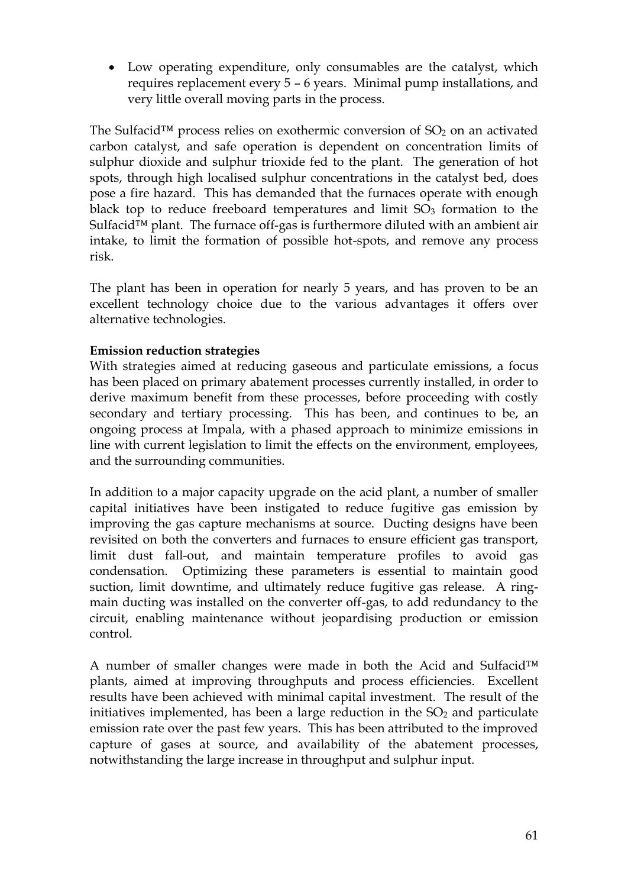· Low operating expenditure, only consumables are the catalyst, which requires replacement every 5 – 6 years. Minimal pump installations, and very little overall moving parts in the process.

The Sulfacid<sup>™</sup> process relies on exothermic conversion of  $SO<sub>2</sub>$  on an activated carbon catalyst, and safe operation is dependent on concentration limits of sulphur dioxide and sulphur trioxide fed to the plant. The generation of hot spots, through high localised sulphur concentrations in the catalyst bed, does pose a fire hazard. This has demanded that the furnaces operate with enough black top to reduce freeboard temperatures and limit  $SO<sub>3</sub>$  formation to the Sulfacid<sup>™</sup> plant. The furnace off-gas is furthermore diluted with an ambient air intake, to limit the formation of possible hot-spots, and remove any process risk.

The plant has been in operation for nearly 5 years, and has proven to be an excellent technology choice due to the various advantages it offers over alternative technologies.

# **Emission reduction strategies**

With strategies aimed at reducing gaseous and particulate emissions, a focus has been placed on primary abatement processes currently installed, in order to derive maximum benefit from these processes, before proceeding with costly secondary and tertiary processing. This has been, and continues to be, an ongoing process at Impala, with a phased approach to minimize emissions in line with current legislation to limit the effects on the environment, employees, and the surrounding communities.

In addition to a major capacity upgrade on the acid plant, a number of smaller capital initiatives have been instigated to reduce fugitive gas emission by improving the gas capture mechanisms at source. Ducting designs have been revisited on both the converters and furnaces to ensure efficient gas transport, limit dust fall-out, and maintain temperature profiles to avoid gas condensation. Optimizing these parameters is essential to maintain good suction, limit downtime, and ultimately reduce fugitive gas release. A ringmain ducting was installed on the converter off-gas, to add redundancy to the circuit, enabling maintenance without jeopardising production or emission control.

A number of smaller changes were made in both the Acid and Sulfacid™ plants, aimed at improving throughputs and process efficiencies. Excellent results have been achieved with minimal capital investment. The result of the initiatives implemented, has been a large reduction in the  $SO<sub>2</sub>$  and particulate emission rate over the past few years. This has been attributed to the improved capture of gases at source, and availability of the abatement processes, notwithstanding the large increase in throughput and sulphur input.